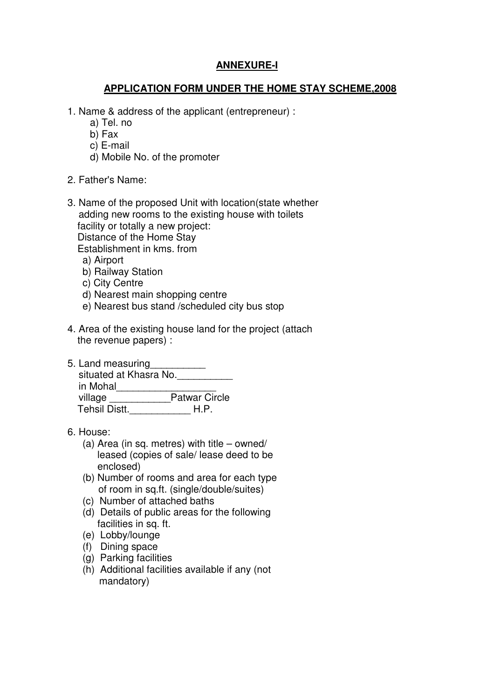## **ANNEXURE-I**

## **APPLICATION FORM UNDER THE HOME STAY SCHEME,2008**

- 1. Name & address of the applicant (entrepreneur) :
	- a) Tel. no
	- b) Fax
	- c) E-mail
	- d) Mobile No. of the promoter
- 2. Father's Name:
- 3. Name of the proposed Unit with location(state whether adding new rooms to the existing house with toilets facility or totally a new project: Distance of the Home Stay Establishment in kms. from
	- a) Airport
	- b) Railway Station
	- c) City Centre
	- d) Nearest main shopping centre
	- e) Nearest bus stand /scheduled city bus stop
- 4. Area of the existing house land for the project (attach the revenue papers) :
- 5. Land measuring situated at Khasra No. in Mohal\_\_\_\_\_\_\_\_\_\_\_\_\_\_\_\_\_\_ village Patwar Circle Tehsil Distt. \_\_\_\_\_\_\_\_\_\_\_\_ H.P.
- 6. House:
	- (a) Area (in sq. metres) with title owned/ leased (copies of sale/ lease deed to be enclosed)
	- (b) Number of rooms and area for each type of room in sq.ft. (single/double/suites)
	- (c) Number of attached baths
	- (d) Details of public areas for the following facilities in sq. ft.
	- (e) Lobby/lounge
	- (f) Dining space
	- (g) Parking facilities
	- (h) Additional facilities available if any (not mandatory)